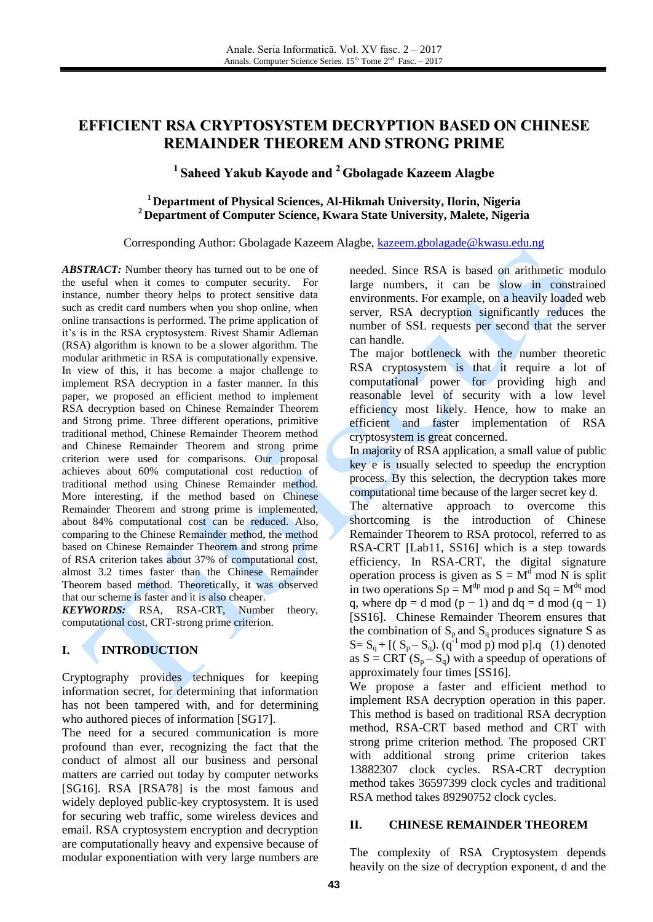# **EFFICIENT RSA CRYPTOSYSTEM DECRYPTION BASED ON CHINESE REMAINDER THEOREM AND STRONG PRIME**

# **1 Saheed Yakub Kayode and <sup>2</sup> Gbolagade Kazeem Alagbe**

### **<sup>1</sup> Department of Physical Sciences, Al-Hikmah University, Ilorin, Nigeria <sup>2</sup> Department of Computer Science, Kwara State University, Malete, Nigeria**

#### Corresponding Author: Gbolagade Kazeem Alagbe, [kazeem.gbolagade@kwasu.edu.ng](mailto:kazeem.gbolagade@kwasu.edu.ng)

*ABSTRACT:* Number theory has turned out to be one of the useful when it comes to computer security. For instance, number theory helps to protect sensitive data such as credit card numbers when you shop online, when online transactions is performed. The prime application of it's is in the RSA cryptosystem. Rivest Shamir Adleman (RSA) algorithm is known to be a slower algorithm. The modular arithmetic in RSA is computationally expensive. In view of this, it has become a major challenge to implement RSA decryption in a faster manner. In this paper, we proposed an efficient method to implement RSA decryption based on Chinese Remainder Theorem and Strong prime. Three different operations, primitive traditional method, Chinese Remainder Theorem method and Chinese Remainder Theorem and strong prime criterion were used for comparisons. Our proposal achieves about 60% computational cost reduction of traditional method using Chinese Remainder method. More interesting, if the method based on Chinese Remainder Theorem and strong prime is implemented, about 84% computational cost can be reduced. Also, comparing to the Chinese Remainder method, the method based on Chinese Remainder Theorem and strong prime of RSA criterion takes about 37% of computational cost, almost 3.2 times faster than the Chinese Remainder Theorem based method. Theoretically, it was observed that our scheme is faster and it is also cheaper.

*KEYWORDS:* RSA, RSA-CRT, Number theory, computational cost, CRT-strong prime criterion.

# **I. INTRODUCTION**

Cryptography provides techniques for keeping information secret, for determining that information has not been tampered with, and for determining who authored pieces of information [SG17].

The need for a secured communication is more profound than ever, recognizing the fact that the conduct of almost all our business and personal matters are carried out today by computer networks [SG16]. RSA [RSA78] is the most famous and widely deployed public-key cryptosystem. It is used for securing web traffic, some wireless devices and email. RSA cryptosystem encryption and decryption are computationally heavy and expensive because of modular exponentiation with very large numbers are needed. Since RSA is based on arithmetic modulo large numbers, it can be slow in constrained environments. For example, on a heavily loaded web server, RSA decryption significantly reduces the number of SSL requests per second that the server can handle.

The major bottleneck with the number theoretic RSA cryptosystem is that it require a lot of computational power for providing high and reasonable level of security with a low level efficiency most likely. Hence, how to make an efficient and faster implementation of RSA cryptosystem is great concerned.

In majority of RSA application, a small value of public key e is usually selected to speedup the encryption process. By this selection, the decryption takes more computational time because of the larger secret key d.

The alternative approach to overcome this shortcoming is the introduction of Chinese Remainder Theorem to RSA protocol, referred to as RSA-CRT [Lab11, SS16] which is a step towards efficiency. In RSA-CRT, the digital signature operation process is given as  $S = M<sup>d</sup>$  mod N is split in two operations  $Sp = M^{dp} \text{ mod } p$  and  $Sq = M^{dq} \text{ mod }$ q, where dp = d mod  $(p - 1)$  and dq = d mod  $(q - 1)$ [SS16]. Chinese Remainder Theorem ensures that the combination of  $S_p$  and  $S_q$  produces signature S as  $S = S_q + [(S_p - S_q) \cdot (q^{\frac{1}{2}} \mod p) \mod p] \cdot (1)$  denoted as  $S = CRT (S_p - S_q)$  with a speedup of operations of approximately four times [SS16].

We propose a faster and efficient method to implement RSA decryption operation in this paper. This method is based on traditional RSA decryption method, RSA-CRT based method and CRT with strong prime criterion method. The proposed CRT with additional strong prime criterion takes 13882307 clock cycles. RSA-CRT decryption method takes 36597399 clock cycles and traditional RSA method takes 89290752 clock cycles.

#### **II. CHINESE REMAINDER THEOREM**

The complexity of RSA Cryptosystem depends heavily on the size of decryption exponent, d and the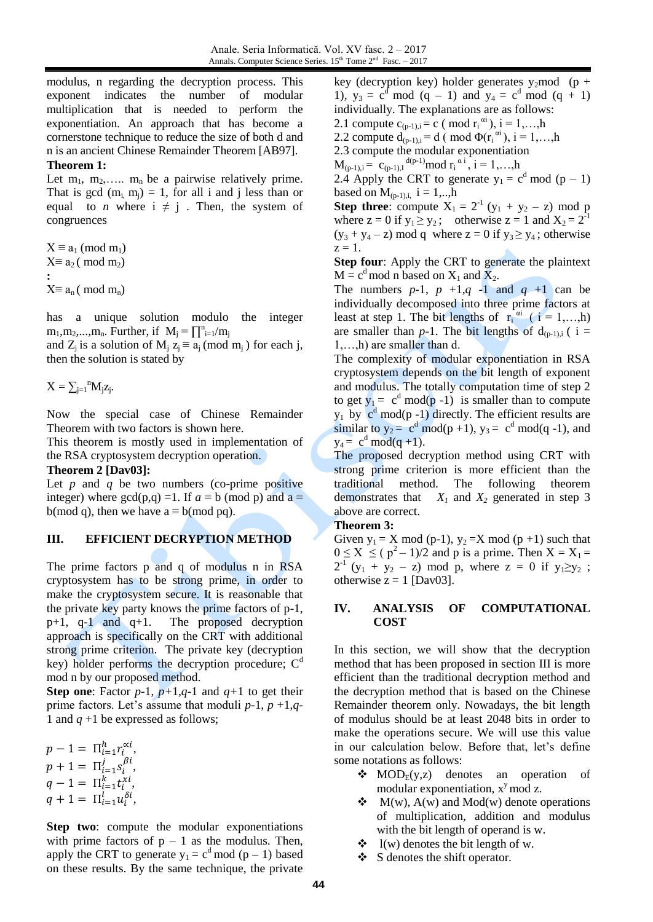modulus, n regarding the decryption process. This exponent indicates the number of modular multiplication that is needed to perform the exponentiation. An approach that has become a cornerstone technique to reduce the size of both d and n is an ancient Chinese Remainder Theorem [AB97].

### **Theorem 1:**

Let  $m_1$ ,  $m_2$ ,.....  $m_n$  be a pairwise relatively prime. That is gcd  $(m_i, m_j) = 1$ , for all i and j less than or equal to *n* where  $i \neq j$ . Then, the system of congruences

 $X \equiv a_1 \pmod{m_1}$  $X \equiv a_2 \pmod{m_2}$ **:**  $X \equiv a_n \pmod{m_n}$ 

has a unique solution modulo the integer  $m_1, m_2, \ldots, m_n$ . Further, if  $M_j = \prod_{i=1}^n/m_j$ 

and  $Z_i$  is a solution of  $M_i$   $z_i \equiv a_i \pmod{m_i}$  for each j, then the solution is stated by

$$
X=\sum_{j=1}^n M_j z_j.
$$

Now the special case of Chinese Remainder Theorem with two factors is shown here.

This theorem is mostly used in implementation of the RSA cryptosystem decryption operation.

#### **Theorem 2 [Dav03]:**

Let  $p$  and  $q$  be two numbers (co-prime positive integer) where  $gcd(p,q) = 1$ . If  $a \equiv b \pmod{p}$  and  $a \equiv$ b(mod q), then we have  $a \equiv b \pmod{pq}$ .

# **III. EFFICIENT DECRYPTION METHOD**

The prime factors p and q of modulus n in RSA cryptosystem has to be strong prime, in order to make the cryptosystem secure. It is reasonable that the private key party knows the prime factors of p-1,  $p+1$ ,  $q-1$  and  $q+1$ . The proposed decryption approach is specifically on the CRT with additional strong prime criterion. The private key (decryption key) holder performs the decryption procedure;  $C<sup>d</sup>$ mod n by our proposed method.

**Step one:** Factor  $p-1$ ,  $p+1$ , $q-1$  and  $q+1$  to get their prime factors. Let's assume that moduli  $p-1$ ,  $p+1$ , $q-1$ 1 and  $q + 1$  be expressed as follows;

$$
p - 1 = \Pi_{i=1}^{h} r_i^{\alpha i},
$$
  
\n
$$
p + 1 = \Pi_{i=1}^{j} s_i^{\beta i},
$$
  
\n
$$
q - 1 = \Pi_{i=1}^{k} t_i^{\alpha i},
$$
  
\n
$$
q + 1 = \Pi_{i=1}^{l} u_i^{\delta i},
$$

**Step two**: compute the modular exponentiations with prime factors of  $p - 1$  as the modulus. Then, apply the CRT to generate  $y_1 = c^d \mod (p-1)$  based on these results. By the same technique, the private

key (decryption key) holder generates  $y_2$  mod (p + 1),  $y_3 = c^d \mod (q - 1)$  and  $y_4 = c^d \mod (q + 1)$ individually. The explanations are as follows: 2.1 compute  $c_{(p-1),i} = c \pmod{r_i^{at}}$ ,  $i = 1,...,h$ 2.2 compute  $d_{(p-1)i} = d$  (mod  $\Phi(r_i^{ai})$ , i = 1,...,h 2.3 compute the modular exponentiation  $M_{(p-1),i} = c_{(p-1),i}$ <sup>d(p-1)</sup>mod r<sub>i</sub><sup>a i</sup>, i = 1,...,h

2.4 Apply the CRT to generate  $y_1 = c^d \mod (p - 1)$ based on  $M_{(p-1),i}$ ,  $i = 1,..,h$ 

**Step three:** compute  $X_1 = 2^{-1} (y_1 + y_2 - z) \text{ mod } p$ where  $z = 0$  if  $y_1 \ge y_2$ ; otherwise  $z = 1$  and  $X_2 = 2^{-1}$  $(y_3 + y_4 - z)$  mod q where  $z = 0$  if  $y_3 \ge y_4$ ; otherwise  $z = 1$ .

**Step four:** Apply the CRT to generate the plaintext  $M = c<sup>d</sup>$  mod n based on  $X_1$  and  $X_2$ .

The numbers  $p-1$ ,  $p+1$ ,  $q-1$  and  $q+1$  can be individually decomposed into three prime factors at least at step 1. The bit lengths of  $r_i^{ai}$  ( $i = 1,...,h$ ) are smaller than  $p-1$ . The bit lengths of  $d_{(p-1)i}$  ( i = 1,…,h) are smaller than d.

The complexity of modular exponentiation in RSA cryptosystem depends on the bit length of exponent and modulus. The totally computation time of step 2 to get  $y_1 = c^d \mod(p-1)$  is smaller than to compute  $y_1$  by  $c^d$  mod(p -1) directly. The efficient results are similar to  $y_2 = c^d \mod(p+1)$ ,  $y_3 = c^d \mod(q-1)$ , and  $y_4 = c^d \mod (q+1)$ .

The proposed decryption method using CRT with strong prime criterion is more efficient than the traditional method. The following theorem demonstrates that  $X_1$  and  $X_2$  generated in step 3 above are correct.

#### **Theorem 3:**

Given  $y_1 = X \mod (p-1)$ ,  $y_2 = X \mod (p+1)$  such that  $0 \le X \le (p^2 - 1)/2$  and p is a prime. Then  $X = X_1 =$  $2^{-1}$  (y<sub>1</sub> + y<sub>2</sub> – z) mod p, where z = 0 if y<sub>1</sub> $\geq$ y<sub>2</sub>; otherwise  $z = 1$  [Dav03].

#### **IV. ANALYSIS OF COMPUTATIONAL COST**

In this section, we will show that the decryption method that has been proposed in section III is more efficient than the traditional decryption method and the decryption method that is based on the Chinese Remainder theorem only. Nowadays, the bit length of modulus should be at least 2048 bits in order to make the operations secure. We will use this value in our calculation below. Before that, let's define some notations as follows:

- $\bullet$  MOD<sub>E</sub>(y,z) denotes an operation of modular exponentiation,  $x^y$  mod z.
- $\mathbf{\hat{\cdot} \cdot}$  M(w), A(w) and Mod(w) denote operations of multiplication, addition and modulus with the bit length of operand is w.
- $\triangleleft$  l(w) denotes the bit length of w.
- $\div$  S denotes the shift operator.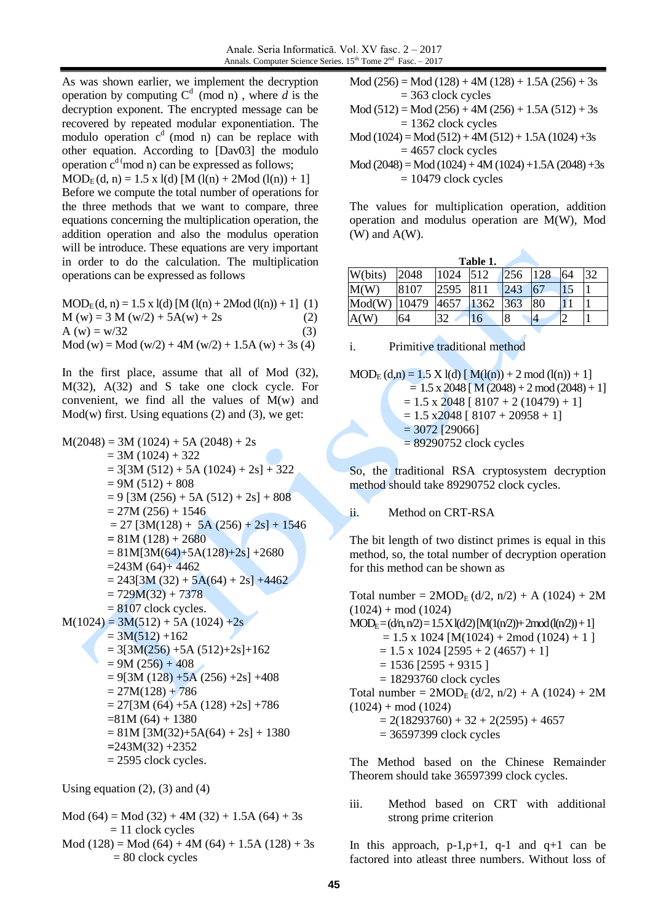As was shown earlier, we implement the decryption operation by computing  $C^d$  (mod n), where *d* is the decryption exponent. The encrypted message can be recovered by repeated modular exponentiation. The modulo operation  $c<sup>d</sup>$  (mod n) can be replace with other equation. According to [Dav03] the modulo operation  $c^d$  (mod n) can be expressed as follows;

 $MOD_E(d, n) = 1.5 \times l(d) [M (l(n) + 2Mod (l(n)) + 1]$ Before we compute the total number of operations for the three methods that we want to compare, three equations concerning the multiplication operation, the addition operation and also the modulus operation will be introduce. These equations are very important in order to do the calculation. The multiplication operations can be expressed as follows

 $MOD_E(d, n) = 1.5 \times l(d) [M (l(n) + 2Mod (l(n)) + 1] (1)$  $M(w) = 3 M(w/2) + 5A(w) + 2s$  (2)  $A (w) = w/32$  (3)  $Mod(w) = Mod(w/2) + 4M(w/2) + 1.5A(w) + 3s(4)$ 

In the first place, assume that all of Mod (32), M(32), A(32) and S take one clock cycle. For convenient, we find all the values of M(w) and  $Mod(w)$  first. Using equations (2) and (3), we get:

$$
M(2048) = 3M (1024) + 5A (2048) + 2s
$$
  
\n= 3M (1024) + 322  
\n= 3[3M (512) + 5A (1024) + 2s] + 322  
\n= 9M (512) + 808  
\n= 9 [3M (256) + 5A (512) + 2s] + 808  
\n= 27M (256) + 1546  
\n= 27 [3M(128) + 5A (256) + 2s] + 1546  
\n= 81M (128) + 2680  
\n= 81M[3M(64)+5A(128)+2s] +2680  
\n= 243M (64) + 4462  
\n= 243[3M (32) + 5A(64) + 2s] +4462  
\n= 729M(32) + 7378  
\n= 8107 clock cycles.  
\n
$$
M(1024) = 3M(512) + 5A (1024) + 2s
$$
\n= 3M(512) +162  
\n= 3[3M(256) +5A (512)+2s] +162  
\n= 9M (256) + 408  
\n= 9[3M (128) +5A (256) +2s] +408  
\n= 27M(128) + 786  
\n= 27[M(64) + 5A (128) +2s] +786  
\n= 81M (64) + 1380  
\n= 81M [3M(32)+5A(64) + 2s] + 1380  
\n= 243M(32) +2352  
\n= 2595 clock cycles.

Using equation  $(2)$ ,  $(3)$  and  $(4)$ 

 $Mod (64) = Mod (32) + 4M (32) + 1.5A (64) + 3s$  = 11 clock cycles  $Mod (128) = Mod (64) + 4M (64) + 1.5A (128) + 3s$ = 80 clock cycles

 $Mod (256) = Mod (128) + 4M (128) + 1.5A (256) + 3s$  $= 363$  clock cycles

 $Mod (512) = Mod (256) + 4M (256) + 1.5A (512) + 3s$  $= 1362$  clock cycles

 $Mod (1024) = Mod (512) + 4M (512) + 1.5A (1024) + 3s$  $= 4657$  clock cycles

 $Mod (2048) = Mod (1024) + 4M (1024) + 1.5A (2048) + 3s$  $= 10479$  clock cycles

The values for multiplication operation, addition operation and modulus operation are M(W), Mod  $(W)$  and  $A(W)$ .

| Table 1. |       |      |      |     |     |    |    |  |
|----------|-------|------|------|-----|-----|----|----|--|
| W(bits)  | 2048  | 1024 | 512  | 256 | 128 | 64 | 32 |  |
| M(W)     | 8107  | 2595 | 811  | 243 | 67  |    |    |  |
| Mod(W)   | 10479 | 4657 | 1362 | 363 | 80  |    |    |  |
|          | 64    | 32   | 16   |     | 4   |    |    |  |

i. Primitive traditional method

$$
MODE (d,n) = 1.5 X 1(d) [M(1(n)) + 2 mod (1(n)) + 1]
$$
  
= 1.5 x 2048 [M (2048) + 2 mod (2048) + 1]  
= 1.5 x 2048 [8107 + 2 (10479) + 1]  
= 1.5 x 2048 [8107 + 20958 + 1]  
= 3072 [29066]  
= 89290752 clock cycles

So, the traditional RSA cryptosystem decryption method should take 89290752 clock cycles.

ii. Method on CRT-RSA

The bit length of two distinct primes is equal in this method, so, the total number of decryption operation for this method can be shown as

Total number =  $2MOD_E(d/2, n/2) + A(1024) + 2M$  $(1024) + \text{mod} (1024)$  $MOD_E = (d/n, n/2) = 1.5 X I(d/2) [M(1(n/2)) + 2mod(I(n/2)) + 1]$  $= 1.5$  x 1024 [M(1024) + 2mod (1024) + 1 ]  $= 1.5 \times 1024 [2595 + 2 (4657) + 1]$  $= 1536$  [2595 + 9315 ]  $= 18293760$  clock cycles Total number =  $2MOD_E(d/2, n/2) + A(1024) + 2M$  $(1024) + \text{mod} (1024)$  $= 2(18293760) + 32 + 2(2595) + 4657$  $= 36597399$  clock cycles

The Method based on the Chinese Remainder Theorem should take 36597399 clock cycles.

iii. Method based on CRT with additional strong prime criterion

In this approach,  $p-1, p+1, q-1$  and  $q+1$  can be factored into atleast three numbers. Without loss of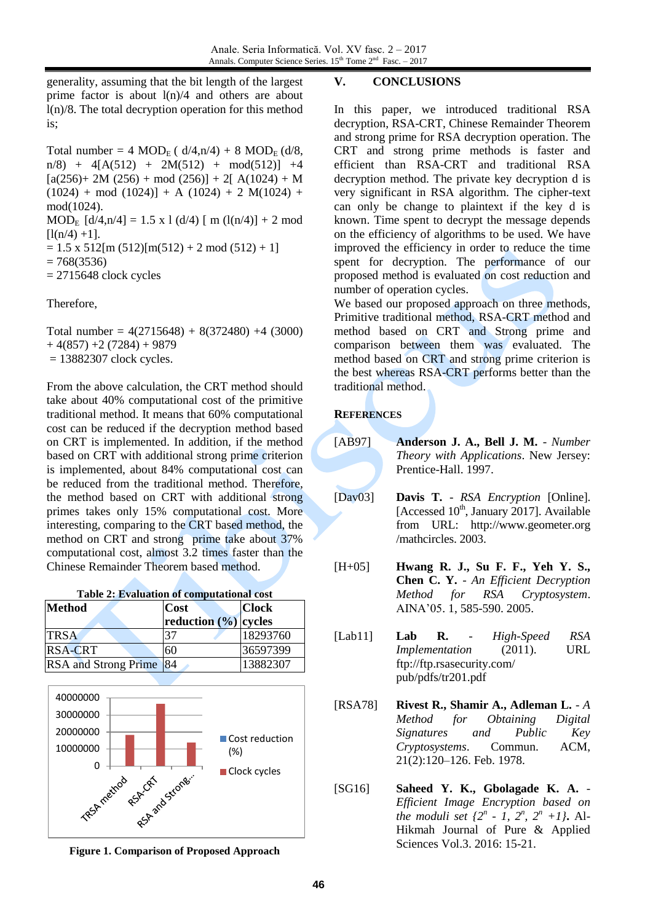generality, assuming that the bit length of the largest prime factor is about  $l(n)/4$  and others are about  $l(n)/8$ . The total decryption operation for this method is;

Total number = 4  $\text{MOD}_{\text{E}}$  (  $d/4, n/4$ ) + 8  $\text{MOD}_{\text{E}}$  ( $d/8$ ,  $n/8$  + 4[A(512) + 2M(512) + mod(512)] +4  $[a(256) + 2M (256) + mod (256)] + 2[A(1024) + M]$  $(1024) + \text{mod} (1024) + A (1024) + 2 M(1024) +$ mod(1024).  $MOD_E$  [d/4,n/4] = 1.5 x 1 (d/4) [ m (l(n/4)] + 2 mod  $[1(n/4) +1]$ .  $= 1.5 \times 512$ [m (512)[m(512) + 2 mod (512) + 1]  $= 768(3536)$  $= 2715648$  clock cycles

Therefore,

Total number =  $4(2715648) + 8(372480) + 4(3000)$  $+ 4(857) + 2(7284) + 9879$  $= 13882307$  clock cycles.

From the above calculation, the CRT method should take about 40% computational cost of the primitive traditional method. It means that 60% computational cost can be reduced if the decryption method based on CRT is implemented. In addition, if the method based on CRT with additional strong prime criterion is implemented, about 84% computational cost can be reduced from the traditional method. Therefore, the method based on CRT with additional strong primes takes only 15% computational cost. More interesting, comparing to the CRT based method, the method on CRT and strong prime take about 37% computational cost, almost 3.2 times faster than the Chinese Remainder Theorem based method.

| <b>Table 2: Evaluation of computational cost</b> |                                  |              |  |  |  |  |  |
|--------------------------------------------------|----------------------------------|--------------|--|--|--|--|--|
| Method                                           | Cost                             | <b>Clock</b> |  |  |  |  |  |
|                                                  | reduction $(\frac{9}{6})$ cycles |              |  |  |  |  |  |
| <b>TRSA</b>                                      | 37                               | 18293760     |  |  |  |  |  |
| <b>RSA-CRT</b>                                   | 60                               | 36597399     |  |  |  |  |  |
| <b>RSA</b> and Strong Prime 84                   |                                  | 13882307     |  |  |  |  |  |



**Figure 1. Comparison of Proposed Approach**

## **V. CONCLUSIONS**

In this paper, we introduced traditional RSA decryption, RSA-CRT, Chinese Remainder Theorem and strong prime for RSA decryption operation. The CRT and strong prime methods is faster and efficient than RSA-CRT and traditional RSA decryption method. The private key decryption d is very significant in RSA algorithm. The cipher-text can only be change to plaintext if the key d is known. Time spent to decrypt the message depends on the efficiency of algorithms to be used. We have improved the efficiency in order to reduce the time spent for decryption. The performance of our proposed method is evaluated on cost reduction and number of operation cycles.

We based our proposed approach on three methods, Primitive traditional method, RSA-CRT method and method based on CRT and Strong prime and comparison between them was evaluated. The method based on CRT and strong prime criterion is the best whereas RSA-CRT performs better than the traditional method.

## **REFERENCES**

- [AB97] **Anderson J. A., Bell J. M.** *Number Theory with Applications*. New Jersey: Prentice-Hall. 1997.
- [Dav03] **Davis T.** *RSA Encryption* [Online]. [Accessed  $10<sup>th</sup>$ , January 2017]. Available from URL: http://www.geometer.org /mathcircles. 2003.
- [H+05] **Hwang R. J., Su F. F., Yeh Y. S., Chen C. Y.** - *An Efficient Decryption Method for RSA Cryptosystem*. AINA'05. 1, 585-590. 2005.
- [Lab11] **Lab R.** *High-Speed RSA Implementation* (2011). URL ftp://ftp.rsasecurity.com/ pub/pdfs/tr201.pdf
- [RSA78] **Rivest R., Shamir A., Adleman L.** *A Method for Obtaining Digital Signatures and Public Key Cryptosystems*. Commun. ACM, 21(2):120–126. Feb. 1978.
- [SG16] **Saheed Y. K., Gbolagade K. A.** *Efficient Image Encryption based on the moduli set*  $\{2^n - 1, 2^n, 2^n + 1\}$ . Al-Hikmah Journal of Pure & Applied Sciences Vol.3. 2016: 15-21.